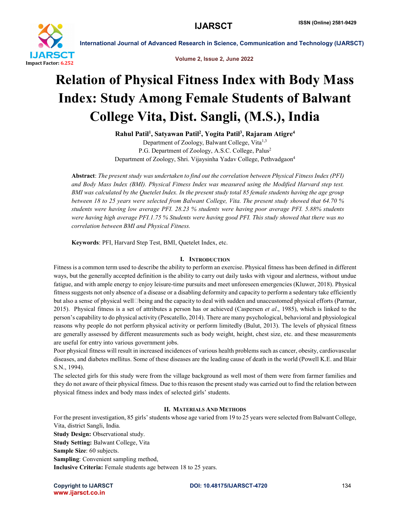

Volume 2, Issue 2, June 2022

# Relation of Physical Fitness Index with Body Mass Index: Study Among Female Students of Balwant College Vita, Dist. Sangli, (M.S.), India

Rahul Patil<sup>1</sup>, Satyawan Patil<sup>2</sup>, Yogita Patil<sup>3</sup>, Rajaram Atigre<sup>4</sup>

Department of Zoology, Balwant College, Vita<sup>1,3</sup> P.G. Department of Zoology, A.S.C. College, Palus2 Department of Zoology, Shri. Vijaysinha Yadav College, Pethvadgaon<sup>4</sup>

Abstract: *The present study was undertaken to find out the correlation between Physical Fitness Index (PFI) and Body Mass Index (BMI). Physical Fitness Index was measured using the Modified Harvard step test. BMI was calculated by the Quetelet Index. In the present study total 85 female students having the age group between 18 to 25 years were selected from Balwant College, Vita. The present study showed that 64.70 % students were having low average PFI. 28.23 % students were having poor average PFI. 5.88% students were having high average PFI.1.75 % Students were having good PFI. This study showed that there was no correlation between BMI and Physical Fitness.* 

Keywords: PFI, Harvard Step Test, BMI, Quetelet Index, etc.

# I. INTRODUCTION

Fitness is a common term used to describe the ability to perform an exercise. Physical fitness has been defined in different ways, but the generally accepted definition is the ability to carry out daily tasks with vigour and alertness, without undue fatigue, and with ample energy to enjoy leisure-time pursuits and meet unforeseen emergencies (Kluwer, 2018). Physical fitness suggests not only absence of a disease or a disabling deformity and capacity to perform a sedentary take efficiently but also a sense of physical well<sup>D</sup>eing and the capacity to deal with sudden and unaccustomed physical efforts (Parmar, 2015). Physical fitness is a set of attributes a person has or achieved (Caspersen *et al*., 1985), which is linked to the person's capability to do physical activity (Pescatello, 2014). There are many psychological, behavioral and physiological reasons why people do not perform physical activity or perform limitedly (Bulut, 2013). The levels of physical fitness are generally assessed by different measurements such as body weight, height, chest size, etc. and these measurements are useful for entry into various government jobs.

Poor physical fitness will result in increased incidences of various health problems such as cancer, obesity, cardiovascular diseases, and diabetes mellitus. Some of these diseases are the leading cause of death in the world (Powell K.E. and Blair S.N., 1994).

The selected girls for this study were from the village background as well most of them were from farmer families and they do not aware of their physical fitness. Due to this reason the present study was carried out to find the relation between physical fitness index and body mass index of selected girls' students.

#### II. MATERIALS AND METHODS

For the present investigation, 85 girls' students whose age varied from 19 to 25 years were selected from Balwant College, Vita, district Sangli, India.

Study Design: Observational study. Study Setting: Balwant College, Vita Sample Size: 60 subjects. Sampling: Convenient sampling method, Inclusive Criteria: Female students age between 18 to 25 years.

www.ijarsct.co.in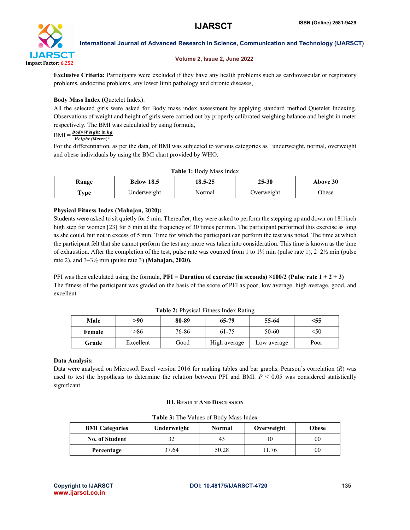

#### Volume 2, Issue 2, June 2022

Exclusive Criteria: Participants were excluded if they have any health problems such as cardiovascular or respiratory problems, endocrine problems, any lower limb pathology and chronic diseases,

# Body Mass Index (Quetelet Index):

All the selected girls were asked for Body mass index assessment by applying standard method Quetelet Indexing. Observations of weight and height of girls were carried out by properly calibrated weighing balance and height in meter respectively. The BMI was calculated by using formula,

# $BMI = \frac{Body Weight in kg}{s}$  $Height (Meter)<sup>2</sup>$

For the differentiation, as per the data, of BMI was subjected to various categories as underweight, normal, overweight and obese individuals by using the BMI chart provided by WHO.

| <b>Table 1: Body Mass Index</b> |                              |        |            |          |  |
|---------------------------------|------------------------------|--------|------------|----------|--|
| Range                           | 18.5-25<br><b>Below 18.5</b> |        | $25 - 30$  | Above 30 |  |
| Type                            | Underweight                  | Normal | Overweight | Obese    |  |

# Physical Fitness Index (Mahajan, 2020):

Students were asked to sit quietly for 5 min. Thereafter, they were asked to perform the stepping up and down on  $18$ [linch] high step for women [23] for 5 min at the frequency of 30 times per min. The participant performed this exercise as long as she could, but not in excess of 5 min. Time for which the participant can perform the test was noted. The time at which the participant felt that she cannot perform the test any more was taken into consideration. This time is known as the time of exhaustion. After the completion of the test, pulse rate was counted from 1 to  $1\frac{1}{2}$  min (pulse rate 1),  $2-2\frac{1}{2}$  min (pulse rate 2), and  $3-3\frac{1}{2}$  min (pulse rate 3) (Mahajan, 2020).

PFI was then calculated using the formula, **PFI** = **Duration of exercise (in seconds)**  $\times$ 100/2 (Pulse rate 1 + 2 + 3) The fitness of the participant was graded on the basis of the score of PFI as poor, low average, high average, good, and excellent.

| Male   | >90       | 80-89 | 65-79        | 55-64       | <55  |
|--------|-----------|-------|--------------|-------------|------|
| Female | >86       | 76-86 | 61-75        | 50-60       | <50  |
| Grade  | Excellent | Good  | High average | Low average | Poor |

# Data Analysis:

Data were analysed on Microsoft Excel version 2016 for making tables and bar graphs. Pearson's correlation (*R*) was used to test the hypothesis to determine the relation between PFI and BMI.  $P < 0.05$  was considered statistically significant.

#### III. RESULT AND DISCUSSION

Table 3: The Values of Body Mass Index

| <b>BMI</b> Categories | Underweight | <b>Normal</b> | Overweight | <b>Obese</b> |
|-----------------------|-------------|---------------|------------|--------------|
| <b>No. of Student</b> | 32          | 43            |            | 00           |
| Percentage            | 37.64       | 50.28         | .1.76      | 00           |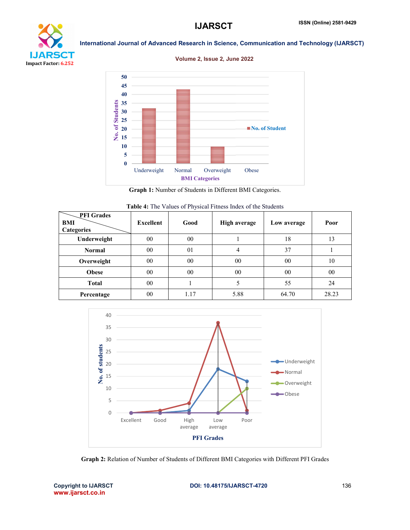





Graph 1: Number of Students in Different BMI Categories.

| Table 4: The Values of Physical Fitness Index of the Students |
|---------------------------------------------------------------|
|---------------------------------------------------------------|

| <b>PFI</b> Grades<br>BMI<br><b>Categories</b> | <b>Excellent</b> | Good | <b>High average</b> | Low average | Poor  |
|-----------------------------------------------|------------------|------|---------------------|-------------|-------|
| Underweight                                   | $00\,$           | 00   |                     | 18          | 13    |
| <b>Normal</b>                                 | 00               | 01   | 4                   | 37          |       |
| Overweight                                    | $00\,$           | 00   | 00                  | 00          | 10    |
| <b>Obese</b>                                  | $00\,$           | 00   | 00                  | 00          | 00    |
| <b>Total</b>                                  | 00               |      |                     | 55          | 24    |
| Percentage                                    | $00\,$           | 1.17 | 5.88                | 64.70       | 28.23 |



Graph 2: Relation of Number of Students of Different BMI Categories with Different PFI Grades

www.ijarsct.co.in